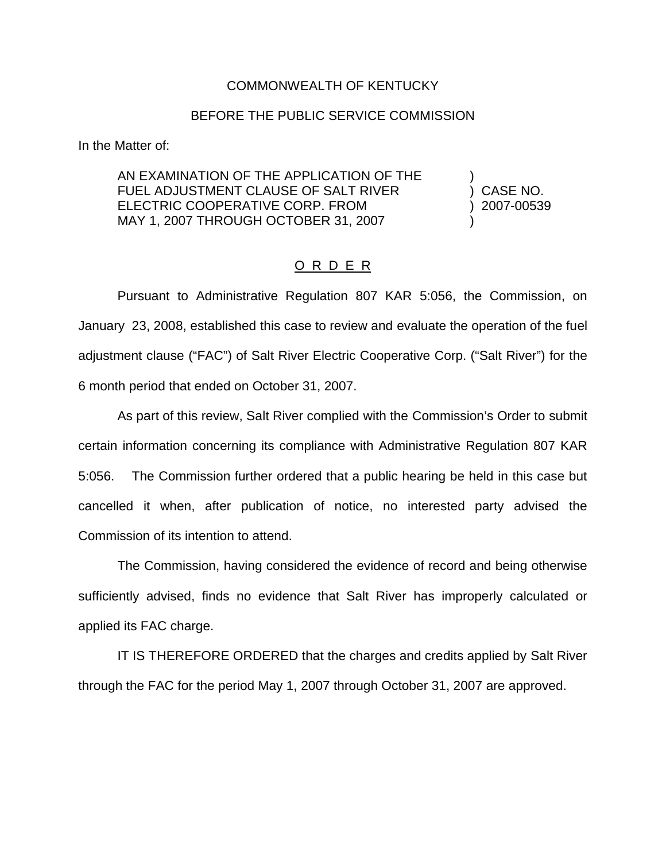## COMMONWEALTH OF KENTUCKY

## BEFORE THE PUBLIC SERVICE COMMISSION

In the Matter of:

AN EXAMINATION OF THE APPLICATION OF THE FUEL ADJUSTMENT CLAUSE OF SALT RIVER (and ) CASE NO. ELECTRIC COOPERATIVE CORP. FROM (2007-00539) MAY 1, 2007 THROUGH OCTOBER 31, 2007

## O R D E R

Pursuant to Administrative Regulation 807 KAR 5:056, the Commission, on January 23, 2008, established this case to review and evaluate the operation of the fuel adjustment clause ("FAC") of Salt River Electric Cooperative Corp. ("Salt River") for the 6 month period that ended on October 31, 2007.

As part of this review, Salt River complied with the Commission's Order to submit certain information concerning its compliance with Administrative Regulation 807 KAR 5:056. The Commission further ordered that a public hearing be held in this case but cancelled it when, after publication of notice, no interested party advised the Commission of its intention to attend.

The Commission, having considered the evidence of record and being otherwise sufficiently advised, finds no evidence that Salt River has improperly calculated or applied its FAC charge.

IT IS THEREFORE ORDERED that the charges and credits applied by Salt River through the FAC for the period May 1, 2007 through October 31, 2007 are approved.